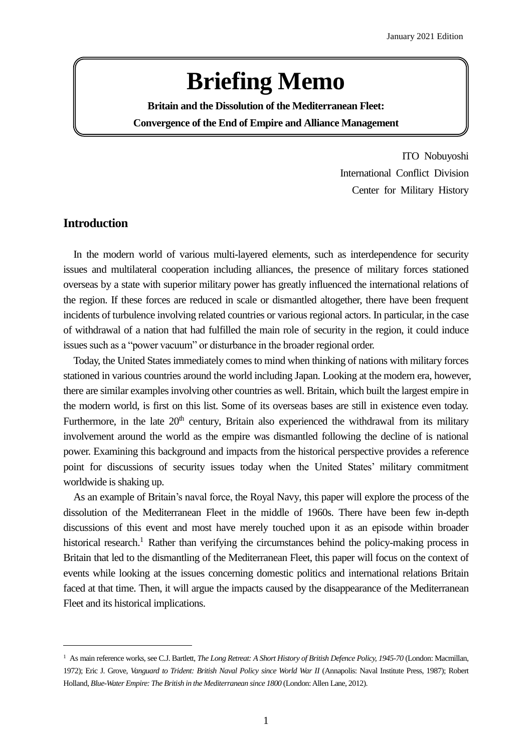# **Briefing Memo**

**Britain and the Dissolution of the Mediterranean Fleet: Convergence of the End of Empire and Alliance Management**

> ITO Nobuyoshi International Conflict Division Center for Military History

## **Introduction**

 $\overline{a}$ 

 In the modern world of various multi-layered elements, such as interdependence for security issues and multilateral cooperation including alliances, the presence of military forces stationed overseas by a state with superior military power has greatly influenced the international relations of the region. If these forces are reduced in scale or dismantled altogether, there have been frequent incidents of turbulence involving related countries or various regional actors. In particular, in the case of withdrawal of a nation that had fulfilled the main role of security in the region, it could induce issues such as a "power vacuum" or disturbance in the broader regional order.

 Today, the United States immediately comes to mind when thinking of nations with military forces stationed in various countries around the world including Japan. Looking at the modern era, however, there are similar examples involving other countries as well. Britain, which built the largest empire in the modern world, is first on this list. Some of its overseas bases are still in existence even today. Furthermore, in the late  $20<sup>th</sup>$  century, Britain also experienced the withdrawal from its military involvement around the world as the empire was dismantled following the decline of is national power. Examining this background and impacts from the historical perspective provides a reference point for discussions of security issues today when the United States' military commitment worldwide is shaking up.

 As an example of Britain's naval force, the Royal Navy, this paper will explore the process of the dissolution of the Mediterranean Fleet in the middle of 1960s. There have been few in-depth discussions of this event and most have merely touched upon it as an episode within broader historical research.<sup>1</sup> Rather than verifying the circumstances behind the policy-making process in Britain that led to the dismantling of the Mediterranean Fleet, this paper will focus on the context of events while looking at the issues concerning domestic politics and international relations Britain faced at that time. Then, it will argue the impacts caused by the disappearance of the Mediterranean Fleet and its historical implications.

<sup>1</sup> As main reference works, see C.J. Bartlett, *The Long Retreat: A Short History of British Defence Policy, 1945-70* (London: Macmillan, 1972); Eric J. Grove, *Vanguard to Trident: British Naval Policy since World War II* (Annapolis: Naval Institute Press, 1987); Robert Holland, *Blue-Water Empire: The British in the Mediterranean since 1800* (London: Allen Lane, 2012).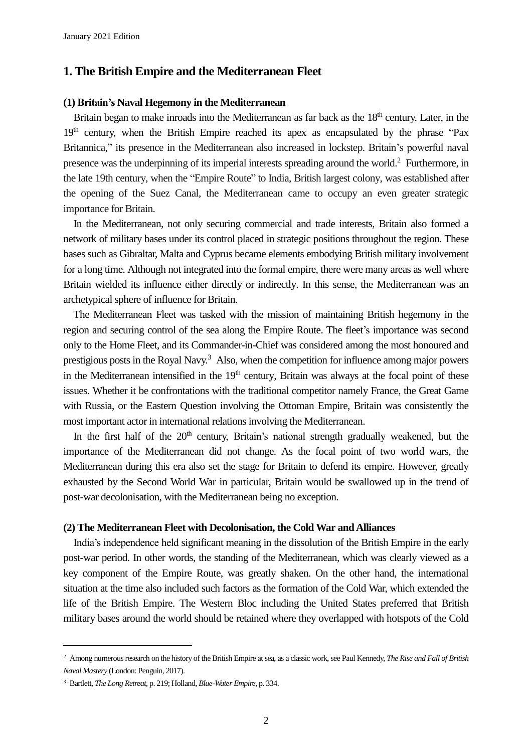## **1. The British Empire and the Mediterranean Fleet**

#### **(1) Britain's Naval Hegemony in the Mediterranean**

Britain began to make inroads into the Mediterranean as far back as the 18<sup>th</sup> century. Later, in the  $19<sup>th</sup>$  century, when the British Empire reached its apex as encapsulated by the phrase "Pax" Britannica," its presence in the Mediterranean also increased in lockstep. Britain's powerful naval presence was the underpinning of its imperial interests spreading around the world.<sup>2</sup> Furthermore, in the late 19th century, when the "Empire Route" to India, British largest colony, was established after the opening of the Suez Canal, the Mediterranean came to occupy an even greater strategic importance for Britain.

 In the Mediterranean, not only securing commercial and trade interests, Britain also formed a network of military bases under its control placed in strategic positions throughout the region. These bases such as Gibraltar, Malta and Cyprus became elements embodying British military involvement for a long time. Although not integrated into the formal empire, there were many areas as well where Britain wielded its influence either directly or indirectly. In this sense, the Mediterranean was an archetypical sphere of influence for Britain.

 The Mediterranean Fleet was tasked with the mission of maintaining British hegemony in the region and securing control of the sea along the Empire Route. The fleet's importance was second only to the Home Fleet, and its Commander-in-Chief was considered among the most honoured and prestigious posts in the Royal Navy.<sup>3</sup> Also, when the competition for influence among major powers in the Mediterranean intensified in the  $19<sup>th</sup>$  century, Britain was always at the focal point of these issues. Whether it be confrontations with the traditional competitor namely France, the Great Game with Russia, or the Eastern Question involving the Ottoman Empire, Britain was consistently the most important actor in international relations involving the Mediterranean.

In the first half of the  $20<sup>th</sup>$  century, Britain's national strength gradually weakened, but the importance of the Mediterranean did not change. As the focal point of two world wars, the Mediterranean during this era also set the stage for Britain to defend its empire. However, greatly exhausted by the Second World War in particular, Britain would be swallowed up in the trend of post-war decolonisation, with the Mediterranean being no exception.

#### **(2) The Mediterranean Fleet with Decolonisation, the Cold War andAlliances**

 India's independence held significant meaning in the dissolution of the British Empire in the early post-war period. In other words, the standing of the Mediterranean, which was clearly viewed as a key component of the Empire Route, was greatly shaken. On the other hand, the international situation at the time also included such factors as the formation of the Cold War, which extended the life of the British Empire. The Western Bloc including the United States preferred that British military bases around the world should be retained where they overlapped with hotspots of the Cold

 $\overline{a}$ 

<sup>2</sup> Among numerous research on the history of the British Empire at sea, as a classic work, see Paul Kennedy, *The Rise and Fall of British Naval Mastery* (London: Penguin, 2017).

<sup>3</sup> Bartlett, *The Long Retreat*, p. 219; Holland, *Blue-Water Empire*, p. 334.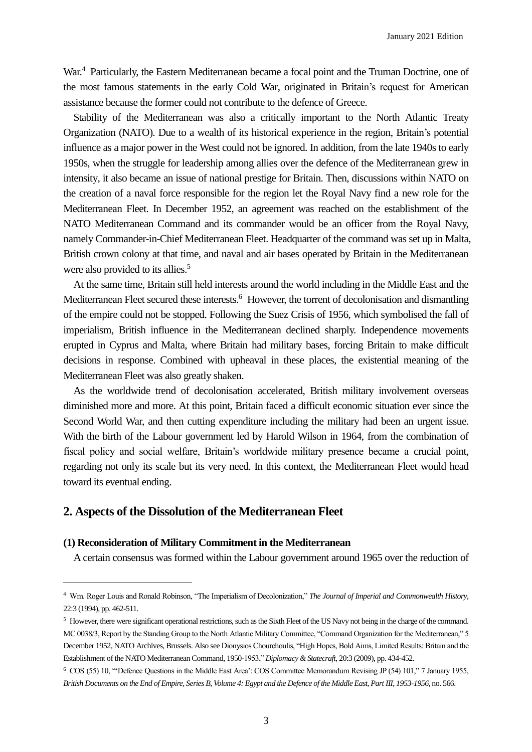January 2021 Edition

War.<sup>4</sup> Particularly, the Eastern Mediterranean became a focal point and the Truman Doctrine, one of the most famous statements in the early Cold War, originated in Britain's request for American assistance because the former could not contribute to the defence of Greece.

 Stability of the Mediterranean was also a critically important to the North Atlantic Treaty Organization (NATO). Due to a wealth of its historical experience in the region, Britain's potential influence as a major power in the West could not be ignored. In addition, from the late 1940s to early 1950s, when the struggle for leadership among allies over the defence of the Mediterranean grew in intensity, it also became an issue of national prestige for Britain. Then, discussions within NATO on the creation of a naval force responsible for the region let the Royal Navy find a new role for the Mediterranean Fleet. In December 1952, an agreement was reached on the establishment of the NATO Mediterranean Command and its commander would be an officer from the Royal Navy, namely Commander-in-Chief Mediterranean Fleet. Headquarter of the command was set up in Malta, British crown colony at that time, and naval and air bases operated by Britain in the Mediterranean were also provided to its allies. 5

 At the same time, Britain still held interests around the world including in the Middle East and the Mediterranean Fleet secured these interests.<sup>6</sup> However, the torrent of decolonisation and dismantling of the empire could not be stopped. Following the Suez Crisis of 1956, which symbolised the fall of imperialism, British influence in the Mediterranean declined sharply. Independence movements erupted in Cyprus and Malta, where Britain had military bases, forcing Britain to make difficult decisions in response. Combined with upheaval in these places, the existential meaning of the Mediterranean Fleet was also greatly shaken.

 As the worldwide trend of decolonisation accelerated, British military involvement overseas diminished more and more. At this point, Britain faced a difficult economic situation ever since the Second World War, and then cutting expenditure including the military had been an urgent issue. With the birth of the Labour government led by Harold Wilson in 1964, from the combination of fiscal policy and social welfare, Britain's worldwide military presence became a crucial point, regarding not only its scale but its very need. In this context, the Mediterranean Fleet would head toward its eventual ending.

## **2. Aspects of the Dissolution of the Mediterranean Fleet**

### **(1) Reconsideration of Military Commitment in the Mediterranean**

 $\overline{a}$ 

A certain consensus was formed within the Labour government around 1965 over the reduction of

<sup>4</sup> Wm. Roger Louis and Ronald Robinson, "The Imperialism of Decolonization," *The Journal of Imperial and Commonwealth History*, 22:3 (1994), pp. 462-511.

<sup>&</sup>lt;sup>5</sup> However, there were significant operational restrictions, such as the Sixth Fleet of the US Navy not being in the charge of the command. MC 0038/3, Report by the Standing Group to the North Atlantic Military Committee, "Command Organization for the Mediterranean," 5 December 1952, NATO Archives, Brussels. Also see Dionysios Chourchoulis, "High Hopes, Bold Aims, Limited Results: Britain and the Establishment of the NATO Mediterranean Command, 1950-1953," *Diplomacy & Statecraft*, 20:3 (2009), pp. 434-452.

<sup>6</sup> COS (55) 10, "'Defence Questions in the Middle East Area': COS Committee Memorandum Revising JP (54) 101," 7 January 1955, *British Documents on the End of Empire, Series B, Volume 4: Egypt and the Defence of the Middle East, Part III, 1953-1956*, no. 566.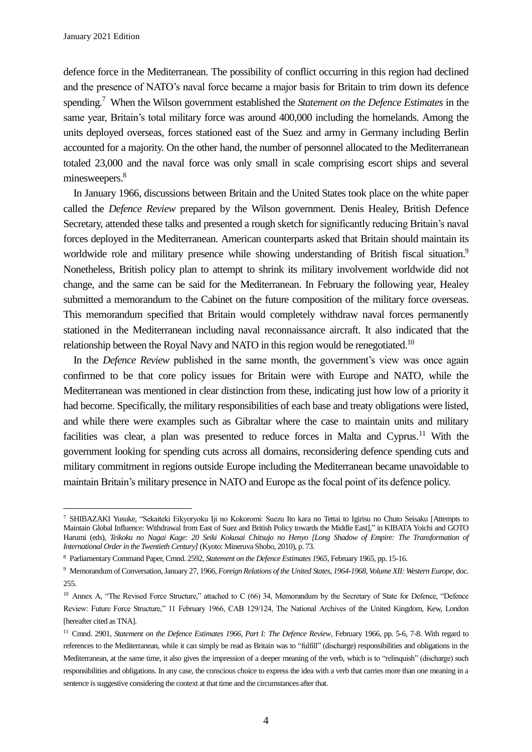$\overline{a}$ 

defence force in the Mediterranean. The possibility of conflict occurring in this region had declined and the presence of NATO's naval force became a major basis for Britain to trim down its defence spending. <sup>7</sup> When the Wilson government established the *Statement on the Defence Estimates* in the same year, Britain's total military force was around 400,000 including the homelands. Among the units deployed overseas, forces stationed east of the Suez and army in Germany including Berlin accounted for a majority. On the other hand, the number of personnel allocated to the Mediterranean totaled 23,000 and the naval force was only small in scale comprising escort ships and several minesweepers.<sup>8</sup>

 In January 1966, discussions between Britain and the United States took place on the white paper called the *Defence Review* prepared by the Wilson government. Denis Healey, British Defence Secretary, attended these talks and presented a rough sketch for significantly reducing Britain's naval forces deployed in the Mediterranean. American counterparts asked that Britain should maintain its worldwide role and military presence while showing understanding of British fiscal situation.<sup>9</sup> Nonetheless, British policy plan to attempt to shrink its military involvement worldwide did not change, and the same can be said for the Mediterranean. In February the following year, Healey submitted a memorandum to the Cabinet on the future composition of the military force overseas. This memorandum specified that Britain would completely withdraw naval forces permanently stationed in the Mediterranean including naval reconnaissance aircraft. It also indicated that the relationship between the Royal Navy and NATO in this region would be renegotiated.<sup>10</sup>

 In the *Defence Review* published in the same month, the government's view was once again confirmed to be that core policy issues for Britain were with Europe and NATO, while the Mediterranean was mentioned in clear distinction from these, indicating just how low of a priority it had become. Specifically, the military responsibilities of each base and treaty obligations were listed, and while there were examples such as Gibraltar where the case to maintain units and military facilities was clear, a plan was presented to reduce forces in Malta and Cyprus.<sup>11</sup> With the government looking for spending cuts across all domains, reconsidering defence spending cuts and military commitment in regions outside Europe including the Mediterranean became unavoidable to maintain Britain's military presence in NATO and Europe as the focal point of its defence policy.

<sup>7</sup> SHIBAZAKI Yusuke, "Sekaiteki Eikyoryoku Iji no Kokoromi: Suezu Ito kara no Tettai to Igirisu no Chuto Seisaku [Attempts to Maintain Global Influence: Withdrawal from East of Suez and British Policy towards the Middle East]," in KIBATA Yoichi and GOTO Harumi (eds), *Teikoku no Nagai Kage: 20 Seiki Kokusai Chitsujo no Henyo [Long Shadow of Empire: The Transformation of International Order in the Twentieth Century]* (Kyoto: Mineruva Shobo, 2010), p. 73.

<sup>8</sup> Parliamentary Command Paper, Cmnd. 2592, *Statement on the Defence Estimates 1965*, February 1965, pp. 15-16.

<sup>9</sup> Memorandum of Conversation, January 27, 1966, *Foreign Relations of the United States, 1964-1968, Volume XII: Western Europe*, doc. 255.

<sup>&</sup>lt;sup>10</sup> Annex A, "The Revised Force Structure," attached to C (66) 34, Memorandum by the Secretary of State for Defence, "Defence Review: Future Force Structure," 11 February 1966, CAB 129/124, The National Archives of the United Kingdom, Kew, London [hereafter cited as TNA].

<sup>&</sup>lt;sup>11</sup> Cmnd. 2901, *Statement on the Defence Estimates 1966, Part I: The Defence Review*, February 1966, pp. 5-6, 7-8. With regard to references to the Mediterranean, while it can simply be read as Britain was to "fulfill" (discharge) responsibilities and obligations in the Mediterranean, at the same time, it also gives the impression of a deeper meaning of the verb, which is to "relinquish" (discharge) such responsibilities and obligations. In any case, the conscious choice to express the idea with a verb that carries more than one meaning in a sentence is suggestive considering the context at that time and the circumstances after that.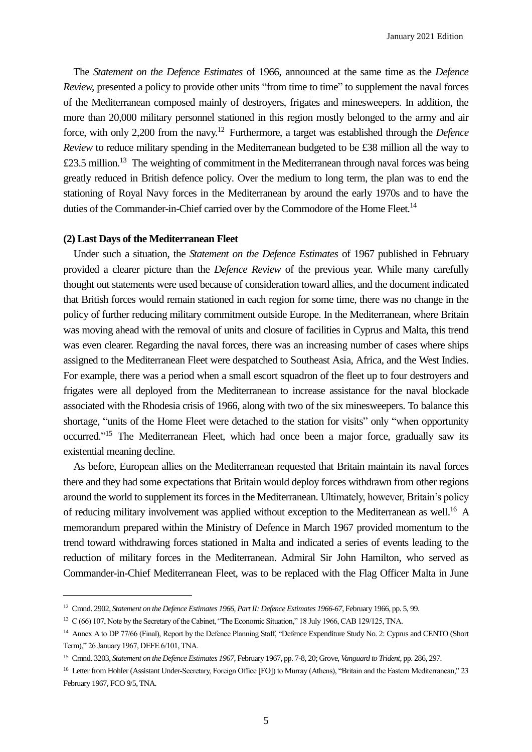The *Statement on the Defence Estimates* of 1966, announced at the same time as the *Defence Review,* presented a policy to provide other units "from time to time" to supplement the naval forces of the Mediterranean composed mainly of destroyers, frigates and minesweepers. In addition, the more than 20,000 military personnel stationed in this region mostly belonged to the army and air force, with only 2,200 from the navy. <sup>12</sup> Furthermore, a target was established through the *Defence Review* to reduce military spending in the Mediterranean budgeted to be £38 million all the way to £23.5 million.<sup>13</sup> The weighting of commitment in the Mediterranean through naval forces was being greatly reduced in British defence policy. Over the medium to long term, the plan was to end the stationing of Royal Navy forces in the Mediterranean by around the early 1970s and to have the duties of the Commander-in-Chief carried over by the Commodore of the Home Fleet.<sup>14</sup>

#### **(2) Last Days of the Mediterranean Fleet**

 $\overline{a}$ 

 Under such a situation, the *Statement on the Defence Estimates* of 1967 published in February provided a clearer picture than the *Defence Review* of the previous year. While many carefully thought out statements were used because of consideration toward allies, and the document indicated that British forces would remain stationed in each region for some time, there was no change in the policy of further reducing military commitment outside Europe. In the Mediterranean, where Britain was moving ahead with the removal of units and closure of facilities in Cyprus and Malta, this trend was even clearer. Regarding the naval forces, there was an increasing number of cases where ships assigned to the Mediterranean Fleet were despatched to Southeast Asia, Africa, and the West Indies. For example, there was a period when a small escort squadron of the fleet up to four destroyers and frigates were all deployed from the Mediterranean to increase assistance for the naval blockade associated with the Rhodesia crisis of 1966, along with two of the six minesweepers. To balance this shortage, "units of the Home Fleet were detached to the station for visits" only "when opportunity occurred."<sup>15</sup> The Mediterranean Fleet, which had once been a major force, gradually saw its existential meaning decline.

 As before, European allies on the Mediterranean requested that Britain maintain its naval forces there and they had some expectations that Britain would deploy forces withdrawn from other regions around the world to supplement its forces in the Mediterranean. Ultimately, however, Britain's policy of reducing military involvement was applied without exception to the Mediterranean as well.<sup>16</sup> A memorandum prepared within the Ministry of Defence in March 1967 provided momentum to the trend toward withdrawing forces stationed in Malta and indicated a series of events leading to the reduction of military forces in the Mediterranean. Admiral Sir John Hamilton, who served as Commander-in-Chief Mediterranean Fleet, was to be replaced with the Flag Officer Malta in June

<sup>&</sup>lt;sup>12</sup> Cmnd. 2902, *Statement on the Defence Estimates 1966, Part II: Defence Estimates 1966-67*, February 1966, pp. 5, 99.

<sup>&</sup>lt;sup>13</sup> C (66) 107, Note by the Secretary of the Cabinet, "The Economic Situation," 18 July 1966, CAB 129/125, TNA.

<sup>&</sup>lt;sup>14</sup> Annex A to DP 77/66 (Final), Report by the Defence Planning Staff, "Defence Expenditure Study No. 2: Cyprus and CENTO (Short Term)," 26 January 1967, DEFE 6/101, TNA.

<sup>15</sup> Cmnd. 3203, *Statement on the Defence Estimates 1967*, February 1967, pp. 7-8, 20; Grove, *Vanguard to Trident*, pp. 286, 297.

<sup>16</sup> Letter from Hohler (Assistant Under-Secretary, Foreign Office [FO]) to Murray (Athens), "Britain and the Eastern Mediterranean," 23 February 1967, FCO 9/5, TNA.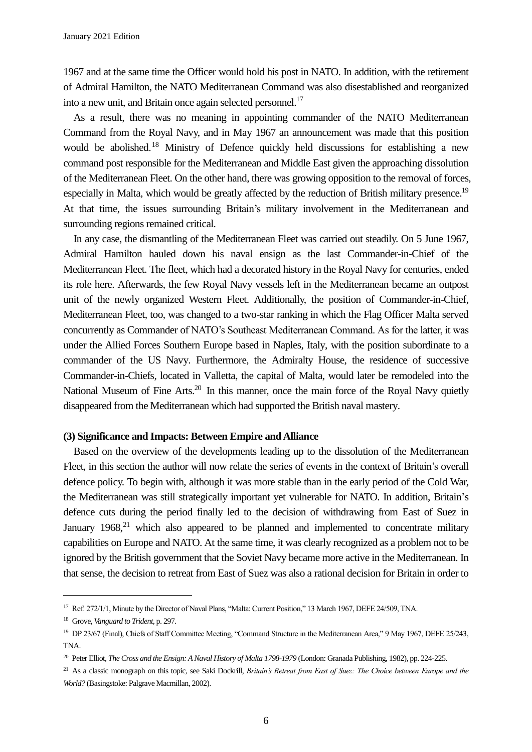1967 and at the same time the Officer would hold his post in NATO. In addition, with the retirement of Admiral Hamilton, the NATO Mediterranean Command was also disestablished and reorganized into a new unit, and Britain once again selected personnel.<sup>17</sup>

 As a result, there was no meaning in appointing commander of the NATO Mediterranean Command from the Royal Navy, and in May 1967 an announcement was made that this position would be abolished. <sup>18</sup> Ministry of Defence quickly held discussions for establishing a new command post responsible for the Mediterranean and Middle East given the approaching dissolution of the Mediterranean Fleet. On the other hand, there was growing opposition to the removal of forces, especially in Malta, which would be greatly affected by the reduction of British military presence.<sup>19</sup> At that time, the issues surrounding Britain's military involvement in the Mediterranean and surrounding regions remained critical.

 In any case, the dismantling of the Mediterranean Fleet was carried out steadily. On 5 June 1967, Admiral Hamilton hauled down his naval ensign as the last Commander-in-Chief of the Mediterranean Fleet. The fleet, which had a decorated history in the Royal Navy for centuries, ended its role here. Afterwards, the few Royal Navy vessels left in the Mediterranean became an outpost unit of the newly organized Western Fleet. Additionally, the position of Commander-in-Chief, Mediterranean Fleet, too, was changed to a two-star ranking in which the Flag Officer Malta served concurrently as Commander of NATO's Southeast Mediterranean Command. As for the latter, it was under the Allied Forces Southern Europe based in Naples, Italy, with the position subordinate to a commander of the US Navy. Furthermore, the Admiralty House, the residence of successive Commander-in-Chiefs, located in Valletta, the capital of Malta, would later be remodeled into the National Museum of Fine Arts.<sup>20</sup> In this manner, once the main force of the Royal Navy quietly disappeared from the Mediterranean which had supported the British naval mastery.

### **(3) Significance and Impacts: Between Empire and Alliance**

 Based on the overview of the developments leading up to the dissolution of the Mediterranean Fleet, in this section the author will now relate the series of events in the context of Britain's overall defence policy. To begin with, although it was more stable than in the early period of the Cold War, the Mediterranean was still strategically important yet vulnerable for NATO. In addition, Britain's defence cuts during the period finally led to the decision of withdrawing from East of Suez in January 1968,<sup>21</sup> which also appeared to be planned and implemented to concentrate military capabilities on Europe and NATO. At the same time, it was clearly recognized as a problem not to be ignored by the British government that the Soviet Navy became more active in the Mediterranean. In that sense, the decision to retreat from East of Suez was also a rational decision for Britain in order to

 $\overline{a}$ 

<sup>&</sup>lt;sup>17</sup> Ref: 272/1/1, Minute by the Director of Naval Plans, "Malta: Current Position," 13 March 1967, DEFE 24/509, TNA.

<sup>18</sup> Grove, *Vanguard to Trident*, p. 297.

<sup>19</sup> DP 23/67 (Final), Chiefs of Staff Committee Meeting, "Command Structure in the Mediterranean Area," 9 May 1967, DEFE 25/243, TNA.

<sup>&</sup>lt;sup>20</sup> Peter Elliot, *The Cross and the Ensign: A Naval History of Malta 1798-1979* (London: Granada Publishing, 1982), pp. 224-225.

<sup>21</sup> As a classic monograph on this topic, see Saki Dockrill, *Britain's Retreat from East of Suez: The Choice between Europe and the World?* (Basingstoke: Palgrave Macmillan, 2002).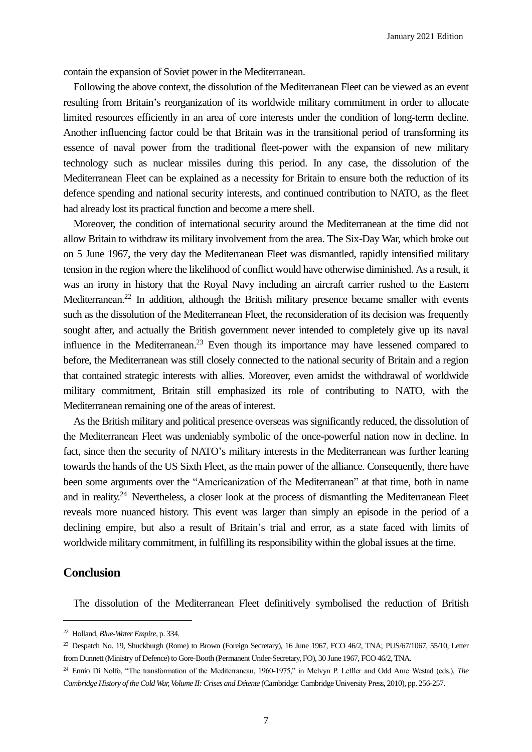contain the expansion of Soviet power in the Mediterranean.

 Following the above context, the dissolution of the Mediterranean Fleet can be viewed as an event resulting from Britain's reorganization of its worldwide military commitment in order to allocate limited resources efficiently in an area of core interests under the condition of long-term decline. Another influencing factor could be that Britain was in the transitional period of transforming its essence of naval power from the traditional fleet-power with the expansion of new military technology such as nuclear missiles during this period. In any case, the dissolution of the Mediterranean Fleet can be explained as a necessity for Britain to ensure both the reduction of its defence spending and national security interests, and continued contribution to NATO, as the fleet had already lost its practical function and become a mere shell.

 Moreover, the condition of international security around the Mediterranean at the time did not allow Britain to withdraw its military involvement from the area. The Six-Day War, which broke out on 5 June 1967, the very day the Mediterranean Fleet was dismantled, rapidly intensified military tension in the region where the likelihood of conflict would have otherwise diminished. As a result, it was an irony in history that the Royal Navy including an aircraft carrier rushed to the Eastern Mediterranean.<sup>22</sup> In addition, although the British military presence became smaller with events such as the dissolution of the Mediterranean Fleet, the reconsideration of its decision was frequently sought after, and actually the British government never intended to completely give up its naval influence in the Mediterranean.<sup>23</sup> Even though its importance may have lessened compared to before, the Mediterranean was still closely connected to the national security of Britain and a region that contained strategic interests with allies. Moreover, even amidst the withdrawal of worldwide military commitment, Britain still emphasized its role of contributing to NATO, with the Mediterranean remaining one of the areas of interest.

 As the British military and political presence overseas was significantly reduced, the dissolution of the Mediterranean Fleet was undeniably symbolic of the once-powerful nation now in decline. In fact, since then the security of NATO's military interests in the Mediterranean was further leaning towards the hands of the US Sixth Fleet, as the main power of the alliance. Consequently, there have been some arguments over the "Americanization of the Mediterranean" at that time, both in name and in reality.<sup>24</sup> Nevertheless, a closer look at the process of dismantling the Mediterranean Fleet reveals more nuanced history. This event was larger than simply an episode in the period of a declining empire, but also a result of Britain's trial and error, as a state faced with limits of worldwide military commitment, in fulfilling its responsibility within the global issues at the time.

# **Conclusion**

 $\overline{a}$ 

The dissolution of the Mediterranean Fleet definitively symbolised the reduction of British

<sup>22</sup> Holland, *Blue-Water Empire*, p. 334.

<sup>&</sup>lt;sup>23</sup> Despatch No. 19, Shuckburgh (Rome) to Brown (Foreign Secretary), 16 June 1967, FCO 46/2, TNA; PUS/67/1067, 55/10, Letter from Dunnett (Ministry of Defence) to Gore-Booth (Permanent Under-Secretary, FO), 30 June 1967, FCO 46/2, TNA.

<sup>24</sup> Ennio Di Nolfo, "The transformation of the Mediterranean, 1960-1975," in Melvyn P. Leffler and Odd Arne Westad (eds.), *The Cambridge History of the Cold War, Volume II: Crises and Détente* (Cambridge: Cambridge University Press, 2010), pp. 256-257.